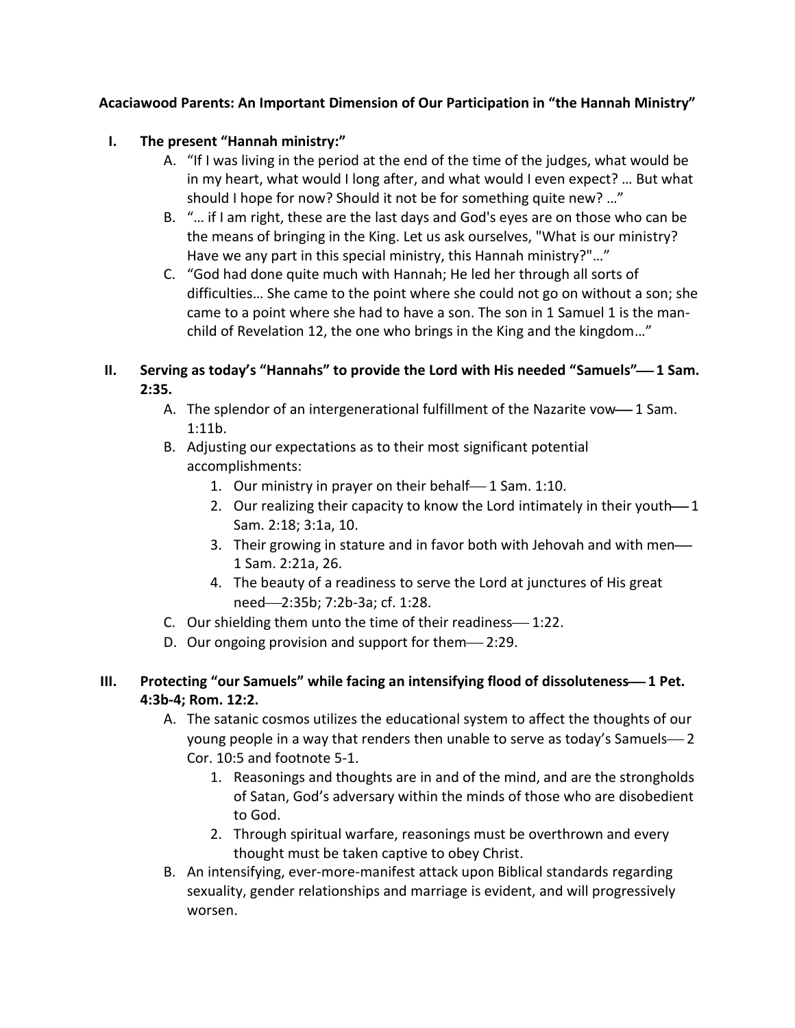## **Acaciawood Parents: An Important Dimension of Our Participation in "the Hannah Ministry"**

## **I. The present "Hannah ministry:"**

- A. "If I was living in the period at the end of the time of the judges, what would be in my heart, what would I long after, and what would I even expect? … But what should I hope for now? Should it not be for something quite new? …"
- B. "… if I am right, these are the last days and God's eyes are on those who can be the means of bringing in the King. Let us ask ourselves, "What is our ministry? Have we any part in this special ministry, this Hannah ministry?"…"
- C. "God had done quite much with Hannah; He led her through all sorts of difficulties… She came to the point where she could not go on without a son; she came to a point where she had to have a son. The son in 1 Samuel 1 is the manchild of Revelation 12, the one who brings in the King and the kingdom…"

## **II.** Serving as today's "Hannahs" to provide the Lord with His needed "Samuels"—1 Sam. **2:35.**

- A. The splendor of an intergenerational fulfillment of the Nazarite vow-1 Sam. 1:11b.
- B. Adjusting our expectations as to their most significant potential accomplishments:
	- 1. Our ministry in prayer on their behalf—1 Sam. 1:10.
	- 2. Our realizing their capacity to know the Lord intimately in their youth-1 Sam. 2:18; 3:1a, 10.
	- 3. Their growing in stature and in favor both with Jehovah and with men— 1 Sam. 2:21a, 26.
	- 4. The beauty of a readiness to serve the Lord at junctures of His great need-2:35b; 7:2b-3a; cf. 1:28.
- C. Our shielding them unto the time of their readiness—1:22.
- D. Our ongoing provision and support for them-2:29.

## **III.** Protecting "our Samuels" while facing an intensifying flood of dissoluteness-1 Pet. **4:3b-4; Rom. 12:2.**

- A. The satanic cosmos utilizes the educational system to affect the thoughts of our young people in a way that renders then unable to serve as today's Samuels-2 Cor. 10:5 and footnote 5-1.
	- 1. Reasonings and thoughts are in and of the mind, and are the strongholds of Satan, God's adversary within the minds of those who are disobedient to God.
	- 2. Through spiritual warfare, reasonings must be overthrown and every thought must be taken captive to obey Christ.
- B. An intensifying, ever-more-manifest attack upon Biblical standards regarding sexuality, gender relationships and marriage is evident, and will progressively worsen.